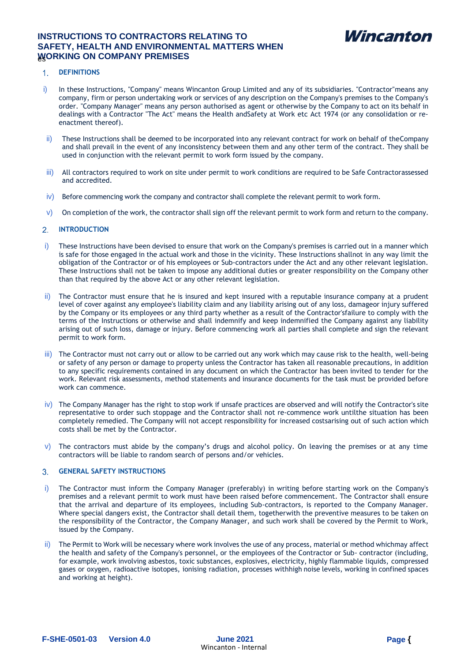# **INSTRUCTIONS TO CONTRACTORS RELATING TO SAFETY, HEALTH AND ENVIRONMENTAL MATTERS WHEN WORKING ON COMPANY PREMISES**



## 1. **DEFINITIONS**

- i) In these Instructions, "Company" means Wincanton Group Limited and any of its subsidiaries. "Contractor" means any company, firm or person undertaking work or services of any description on the Company's premises to the Company's order. "Company Manager" means any person authorised as agent or otherwise by the Company to act on its behalf in dealings with a Contractor "The Act" means the Health andSafety at Work etc Act 1974 (or any consolidation or reenactment thereof).
- ii) These Instructions shall be deemed to be incorporated into any relevant contract for work on behalf of theCompany and shall prevail in the event of any inconsistency between them and any other term of the contract. They shall be used in conjunction with the relevant permit to work form issued by the company.
- iii) All contractors required to work on site under permit to work conditions are required to be Safe Contractorassessed and accredited.
- iv) Before commencing work the company and contractor shall complete the relevant permit to work form.
- $\vee$  On completion of the work, the contractor shall sign off the relevant permit to work form and return to the company.

#### $2.$ **INTRODUCTION**

- i) These Instructions have been devised to ensure that work on the Company's premises is carried out in a manner which is safe for those engaged in the actual work and those in the vicinity. These Instructions shallnot in any way limit the obligation of the Contractor or of his employees or Sub-contractors under the Act and any other relevant legislation. These Instructions shall not be taken to impose any additional duties or greater responsibility on the Company other than that required by the above Act or any other relevant legislation.
- ii) The Contractor must ensure that he is insured and kept insured with a reputable insurance company at a prudent level of cover against any employee's liability claim and any liability arising out of any loss, damageor injury suffered by the Company or its employees or any third party whether as a result of the Contractor'sfailure to comply with the terms of the Instructions or otherwise and shall indemnify and keep indemnified the Company against any liability arising out of such loss, damage or injury. Before commencing work all parties shall complete and sign the relevant permit to work form.
- iii) The Contractor must not carry out or allow to be carried out any work which may cause risk to the health, well-being or safety of any person or damage to property unless the Contractor has taken all reasonable precautions, in addition to any specific requirements contained in any document on which the Contractor has been invited to tender for the work. Relevant risk assessments, method statements and insurance documents for the task must be provided before work can commence.
- iv) The Company Manager has the right to stop work if unsafe practices are observed and will notify the Contractor's site representative to order such stoppage and the Contractor shall not re-commence work untilthe situation has been completely remedied. The Company will not accept responsibility for increased costsarising out of such action which costs shall be met by the Contractor.
- $\vee$ ) The contractors must abide by the company's drugs and alcohol policy. On leaving the premises or at any time contractors will be liable to random search of persons and/or vehicles.

#### **GENERAL SAFETY INSTRUCTIONS** 3.

- i) The Contractor must inform the Company Manager (preferably) in writing before starting work on the Company's premises and a relevant permit to work must have been raised before commencement. The Contractor shall ensure that the arrival and departure of its employees, including Sub-contractors, is reported to the Company Manager. Where special dangers exist, the Contractor shall detail them, togetherwith the preventive measures to be taken on the responsibility of the Contractor, the Company Manager, and such work shall be covered by the Permit to Work, issued by the Company.
- ii) The Permit to Work will be necessary where work involves the use of any process, material or method whichmay affect the health and safety of the Company's personnel, or the employees of the Contractor or Sub- contractor (including, for example, work involving asbestos, toxic substances, explosives, electricity, highly flammable liquids, compressed gases or oxygen, radioactive isotopes, ionising radiation, processes withhigh noise levels, working in confined spaces and working at height).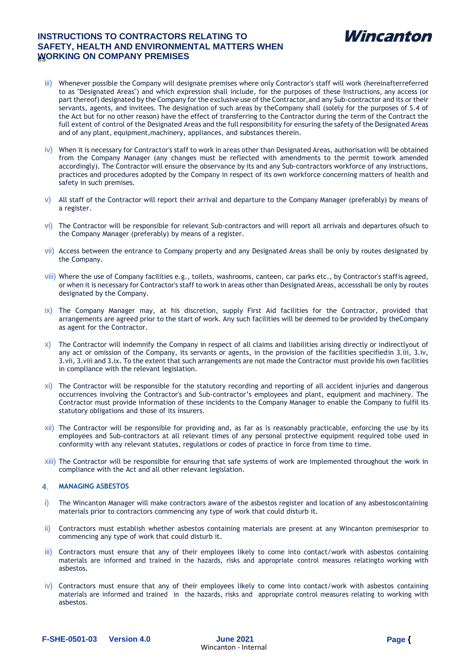



- iii) Whenever possible the Company will designate premises where only Contractor's staff will work (hereinafterreferred to as "Designated Areas") and which expression shall include, for the purposes of these Instructions, any access (or part thereof) designated by the Company for the exclusive use of the Contractor, and any Sub-contractor and its or their servants, agents, and invitees. The designation of such areas by theCompany shall (solely for the purposes of S.4 of the Act but for no other reason) have the effect of transferring to the Contractor during the term of the Contract the full extent of control of the Designated Areas and the full responsibility for ensuring the safety of the Designated Areas and of any plant, equipment,machinery, appliances, and substances therein.
- $iv)$  When it is necessary for Contractor's staff to work in areas other than Designated Areas, authorisation will be obtained from the Company Manager (any changes must be reflected with amendments to the permit towork amended accordingly). The Contractor will ensure the observance by its and any Sub-contractors workforce of any instructions, practices and procedures adopted by the Company in respect of its own workforce concerning matters of health and safety in such premises.
- $v$ ) All staff of the Contractor will report their arrival and departure to the Company Manager (preferably) by means of a register.
- vi) The Contractor will be responsible for relevant Sub-contractors and will report all arrivals and departures ofsuch to the Company Manager (preferably) by means of a register.
- vii) Access between the entrance to Company property and any Designated Areas shall be only by routes designated by the Company.
- viii) Where the use of Company facilities e.g., toilets, washrooms, canteen, car parks etc., by Contractor's staffis agreed, or when it is necessary for Contractor's staff to work in areas other than Designated Areas, accessshall be only by routes designated by the Company.
- ix) The Company Manager may, at his discretion, supply First Aid facilities for the Contractor, provided that arrangements are agreed prior to the start of work. Any such facilities will be deemed to be provided by theCompany as agent for the Contractor.
- $x$ ) The Contractor will indemnify the Company in respect of all claims and liabilities arising directly or indirectlyout of any act or omission of the Company, its servants or agents, in the provision of the facilities specifiedin 3.iii, 3.iv, 3.vii, 3.viii and 3.ix. To the extent that such arrangements are not made the Contractor must provide his own facilities in compliance with the relevant legislation.
- xi) The Contractor will be responsible for the statutory recording and reporting of all accident injuries and dangerous occurrences involving the Contractor's and Sub-contractor's employees and plant, equipment and machinery. The Contractor must provide information of these incidents to the Company Manager to enable the Company to fulfil its statutory obligations and those of its insurers.
- xii) The Contractor will be responsible for providing and, as far as is reasonably practicable, enforcing the use by its employees and Sub-contractors at all relevant times of any personal protective equipment required tobe used in conformity with any relevant statutes, regulations or codes of practice in force from time to time.
- xiii) The Contractor will be responsible for ensuring that safe systems of work are implemented throughout the work in compliance with the Act and all other relevant legislation.

## $4<sup>1</sup>$ **MANAGING ASBESTOS**

- i) The Wincanton Manager will make contractors aware of the asbestos register and location of any asbestoscontaining materials prior to contractors commencing any type of work that could disturb it.
- ii) Contractors must establish whether asbestos containing materials are present at any Wincanton premisesprior to commencing any type of work that could disturb it.
- iii) Contractors must ensure that any of their employees likely to come into contact/work with asbestos containing materials are informed and trained in the hazards, risks and appropriate control measures relatingto working with asbestos.
- iv) Contractors must ensure that any of their employees likely to come into contact/work with asbestos containing materials are informed and trained in the hazards, risks and appropriate control measures relating to working with asbestos.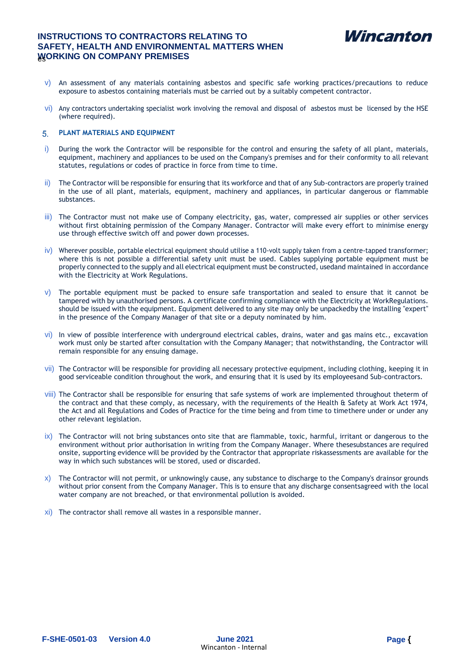

# **INSTRUCTIONS TO CONTRACTORS RELATING TO SAFETY, HEALTH AND ENVIRONMENTAL MATTERS WHEN WORKING ON COMPANY PREMISES**

- v) An assessment of any materials containing asbestos and specific safe working practices/precautions to reduce exposure to asbestos containing materials must be carried out by a suitably competent contractor.
- vi) Any contractors undertaking specialist work involving the removal and disposal of asbestos must be licensed by the HSE (where required).

### 5. **PLANT MATERIALS AND EQUIPMENT**

- i) During the work the Contractor will be responsible for the control and ensuring the safety of all plant, materials, equipment, machinery and appliances to be used on the Company's premises and for their conformity to all relevant statutes, regulations or codes of practice in force from time to time.
- ii) The Contractor will be responsible for ensuring that its workforce and that of any Sub-contractors are properly trained in the use of all plant, materials, equipment, machinery and appliances, in particular dangerous or flammable substances.
- iii) The Contractor must not make use of Company electricity, gas, water, compressed air supplies or other services without first obtaining permission of the Company Manager. Contractor will make every effort to minimise energy use through effective switch off and power down processes.
- iv) Wherever possible, portable electrical equipment should utilise a 110-volt supply taken from a centre-tapped transformer; where this is not possible a differential safety unit must be used. Cables supplying portable equipment must be properly connected to the supply and all electrical equipment must be constructed, usedand maintained in accordance with the Electricity at Work Regulations.
- $v$ ) The portable equipment must be packed to ensure safe transportation and sealed to ensure that it cannot be tampered with by unauthorised persons. A certificate confirming compliance with the Electricity at WorkRegulations. should be issued with the equipment. Equipment delivered to any site may only be unpackedby the installing "expert" in the presence of the Company Manager of that site or a deputy nominated by him.
- vi) In view of possible interference with underground electrical cables, drains, water and gas mains etc., excavation work must only be started after consultation with the Company Manager; that notwithstanding, the Contractor will remain responsible for any ensuing damage.
- vii) The Contractor will be responsible for providing all necessary protective equipment, including clothing, keeping it in good serviceable condition throughout the work, and ensuring that it is used by its employeesand Sub-contractors.
- viii) The Contractor shall be responsible for ensuring that safe systems of work are implemented throughout theterm of the contract and that these comply, as necessary, with the requirements of the Health & Safety at Work Act 1974, the Act and all Regulations and Codes of Practice for the time being and from time to timethere under or under any other relevant legislation.
- ix) The Contractor will not bring substances onto site that are flammable, toxic, harmful, irritant or dangerous to the environment without prior authorisation in writing from the Company Manager. Where thesesubstances are required onsite, supporting evidence will be provided by the Contractor that appropriate riskassessments are available for the way in which such substances will be stored, used or discarded.
- $x$ ) The Contractor will not permit, or unknowingly cause, any substance to discharge to the Company's drainsor grounds without prior consent from the Company Manager. This is to ensure that any discharge consentsagreed with the local water company are not breached, or that environmental pollution is avoided.
- xi) The contractor shall remove all wastes in a responsible manner.